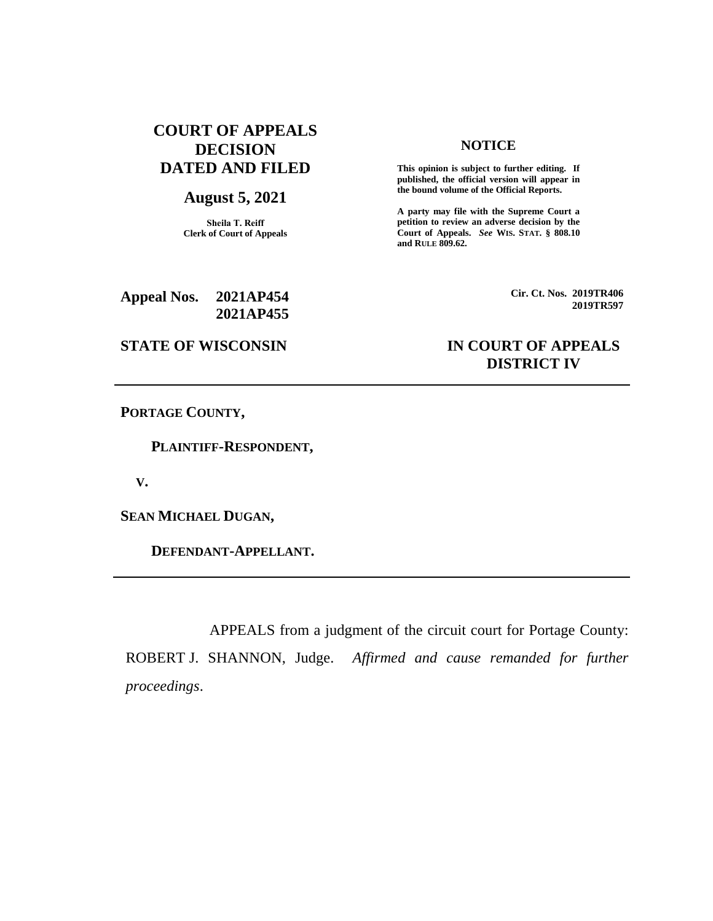# **COURT OF APPEALS DECISION DATED AND FILED**

#### **August 5, 2021**

**Sheila T. Reiff Clerk of Court of Appeals**

#### **NOTICE**

**This opinion is subject to further editing. If published, the official version will appear in the bound volume of the Official Reports.** 

**A party may file with the Supreme Court a petition to review an adverse decision by the Court of Appeals.** *See* **WIS. STAT. § 808.10 and RULE 809.62.** 

**Appeal Nos. 2021AP454 2021AP455** **Cir. Ct. Nos. 2019TR406 2019TR597**

## **STATE OF WISCONSIN IN COURT OF APPEALS DISTRICT IV**

**PORTAGE COUNTY,**

 **PLAINTIFF-RESPONDENT,**

 **V.**

**SEAN MICHAEL DUGAN,**

 **DEFENDANT-APPELLANT.**

APPEALS from a judgment of the circuit court for Portage County: ROBERT J. SHANNON, Judge. *Affirmed and cause remanded for further proceedings*.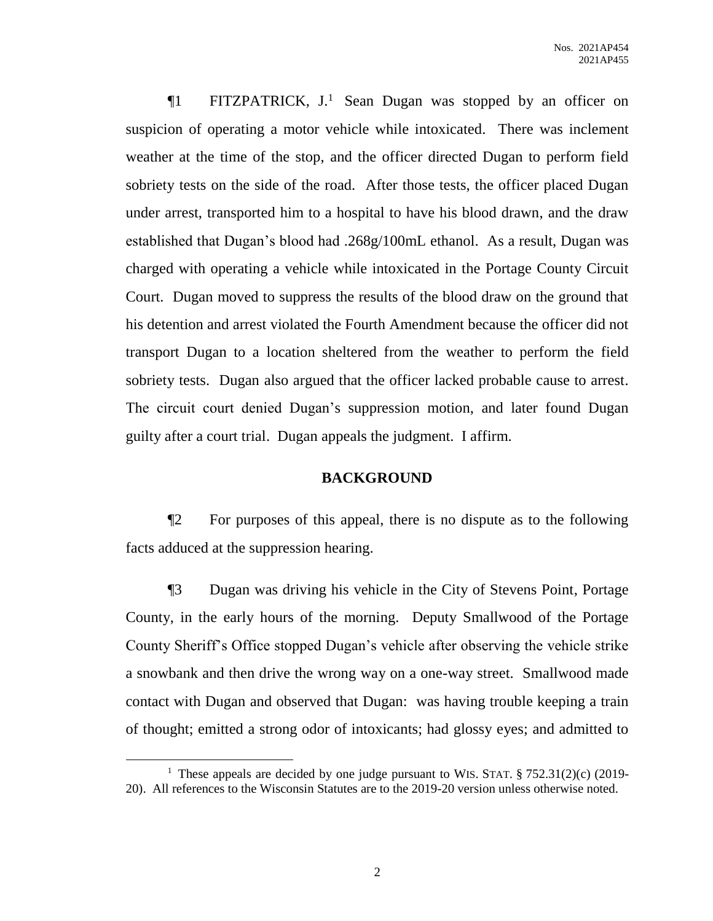¶1 FITZPATRICK, J.<sup>1</sup> Sean Dugan was stopped by an officer on suspicion of operating a motor vehicle while intoxicated. There was inclement weather at the time of the stop, and the officer directed Dugan to perform field sobriety tests on the side of the road. After those tests, the officer placed Dugan under arrest, transported him to a hospital to have his blood drawn, and the draw established that Dugan's blood had .268g/100mL ethanol. As a result, Dugan was charged with operating a vehicle while intoxicated in the Portage County Circuit Court. Dugan moved to suppress the results of the blood draw on the ground that his detention and arrest violated the Fourth Amendment because the officer did not transport Dugan to a location sheltered from the weather to perform the field sobriety tests. Dugan also argued that the officer lacked probable cause to arrest. The circuit court denied Dugan's suppression motion, and later found Dugan guilty after a court trial. Dugan appeals the judgment. I affirm.

#### **BACKGROUND**

¶2 For purposes of this appeal, there is no dispute as to the following facts adduced at the suppression hearing.

¶3 Dugan was driving his vehicle in the City of Stevens Point, Portage County, in the early hours of the morning. Deputy Smallwood of the Portage County Sheriff's Office stopped Dugan's vehicle after observing the vehicle strike a snowbank and then drive the wrong way on a one-way street. Smallwood made contact with Dugan and observed that Dugan: was having trouble keeping a train of thought; emitted a strong odor of intoxicants; had glossy eyes; and admitted to

 $\overline{a}$ 

<sup>&</sup>lt;sup>1</sup> These appeals are decided by one judge pursuant to WIS. STAT.  $\S 752.31(2)(c)$  (2019-20). All references to the Wisconsin Statutes are to the 2019-20 version unless otherwise noted.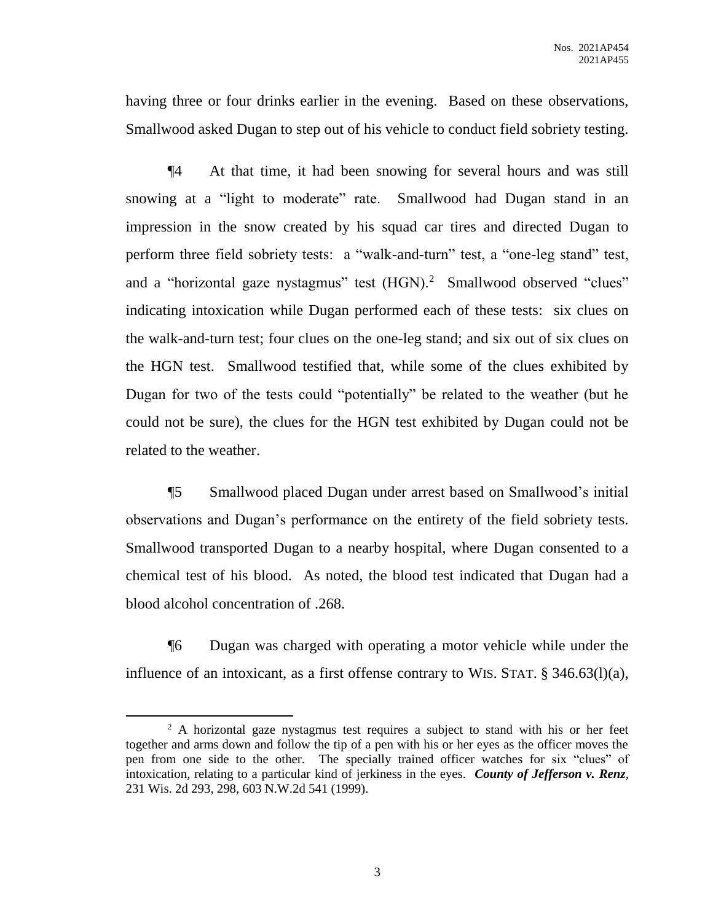having three or four drinks earlier in the evening. Based on these observations, Smallwood asked Dugan to step out of his vehicle to conduct field sobriety testing.

¶4 At that time, it had been snowing for several hours and was still snowing at a "light to moderate" rate. Smallwood had Dugan stand in an impression in the snow created by his squad car tires and directed Dugan to perform three field sobriety tests: a "walk-and-turn" test, a "one-leg stand" test, and a "horizontal gaze nystagmus" test (HGN).<sup>2</sup> Smallwood observed "clues" indicating intoxication while Dugan performed each of these tests: six clues on the walk-and-turn test; four clues on the one-leg stand; and six out of six clues on the HGN test. Smallwood testified that, while some of the clues exhibited by Dugan for two of the tests could "potentially" be related to the weather (but he could not be sure), the clues for the HGN test exhibited by Dugan could not be related to the weather.

¶5 Smallwood placed Dugan under arrest based on Smallwood's initial observations and Dugan's performance on the entirety of the field sobriety tests. Smallwood transported Dugan to a nearby hospital, where Dugan consented to a chemical test of his blood. As noted, the blood test indicated that Dugan had a blood alcohol concentration of .268.

¶6 Dugan was charged with operating a motor vehicle while under the influence of an intoxicant, as a first offense contrary to WIS. STAT. § 346.63(l)(a),

 $\overline{a}$ 

<sup>&</sup>lt;sup>2</sup> A horizontal gaze nystagmus test requires a subject to stand with his or her feet together and arms down and follow the tip of a pen with his or her eyes as the officer moves the pen from one side to the other. The specially trained officer watches for six "clues" of intoxication, relating to a particular kind of jerkiness in the eyes. *County of Jefferson v. Renz*, 231 Wis. 2d 293, 298, 603 N.W.2d 541 (1999).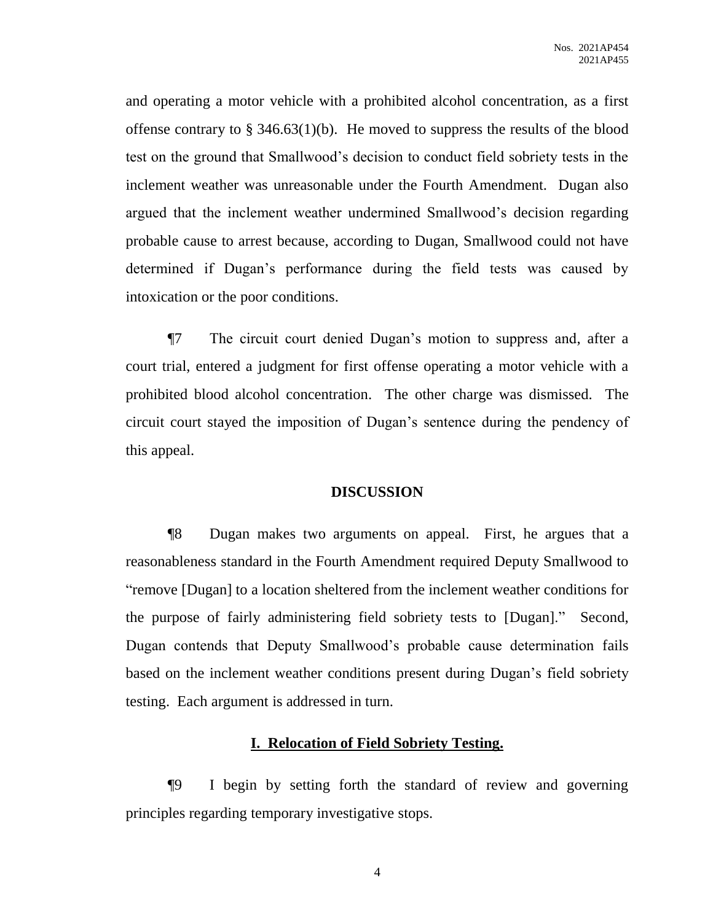and operating a motor vehicle with a prohibited alcohol concentration, as a first offense contrary to  $\S 346.63(1)(b)$ . He moved to suppress the results of the blood test on the ground that Smallwood's decision to conduct field sobriety tests in the inclement weather was unreasonable under the Fourth Amendment. Dugan also argued that the inclement weather undermined Smallwood's decision regarding probable cause to arrest because, according to Dugan, Smallwood could not have determined if Dugan's performance during the field tests was caused by intoxication or the poor conditions.

¶7 The circuit court denied Dugan's motion to suppress and, after a court trial, entered a judgment for first offense operating a motor vehicle with a prohibited blood alcohol concentration. The other charge was dismissed. The circuit court stayed the imposition of Dugan's sentence during the pendency of this appeal.

#### **DISCUSSION**

¶8 Dugan makes two arguments on appeal. First, he argues that a reasonableness standard in the Fourth Amendment required Deputy Smallwood to "remove [Dugan] to a location sheltered from the inclement weather conditions for the purpose of fairly administering field sobriety tests to [Dugan]." Second, Dugan contends that Deputy Smallwood's probable cause determination fails based on the inclement weather conditions present during Dugan's field sobriety testing. Each argument is addressed in turn.

#### **I. Relocation of Field Sobriety Testing.**

¶9 I begin by setting forth the standard of review and governing principles regarding temporary investigative stops.

4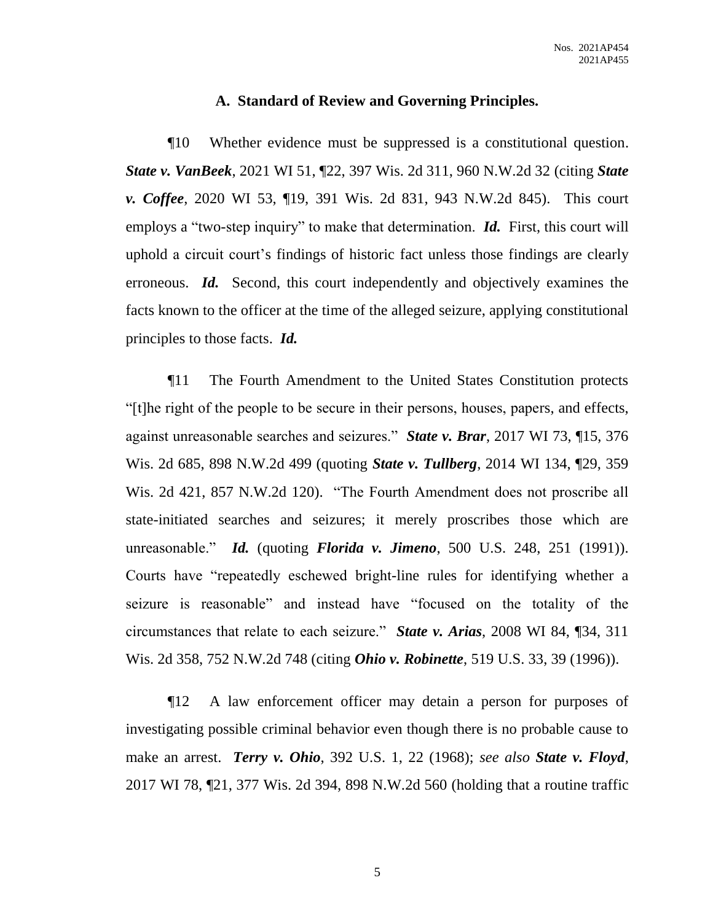#### **A. Standard of Review and Governing Principles.**

¶10 Whether evidence must be suppressed is a constitutional question. *State v. VanBeek*, 2021 WI 51, ¶22, 397 Wis. 2d 311, 960 N.W.2d 32 (citing *State v. Coffee*, 2020 WI 53, ¶19, 391 Wis. 2d 831, 943 N.W.2d 845). This court employs a "two-step inquiry" to make that determination. **Id.** First, this court will uphold a circuit court's findings of historic fact unless those findings are clearly erroneous. *Id.* Second, this court independently and objectively examines the facts known to the officer at the time of the alleged seizure, applying constitutional principles to those facts. *Id.*

¶11 The Fourth Amendment to the United States Constitution protects "[t]he right of the people to be secure in their persons, houses, papers, and effects, against unreasonable searches and seizures." *State v. Brar*, 2017 WI 73, ¶15, 376 Wis. 2d 685, 898 N.W.2d 499 (quoting *State v. Tullberg*, 2014 WI 134, ¶29, 359 Wis. 2d 421, 857 N.W.2d 120). "The Fourth Amendment does not proscribe all state-initiated searches and seizures; it merely proscribes those which are unreasonable." *Id.* (quoting *Florida v. Jimeno*, 500 U.S. 248, 251 (1991)). Courts have "repeatedly eschewed bright-line rules for identifying whether a seizure is reasonable" and instead have "focused on the totality of the circumstances that relate to each seizure." *State v. Arias*, 2008 WI 84, ¶34, 311 Wis. 2d 358, 752 N.W.2d 748 (citing *Ohio v. Robinette*, 519 U.S. 33, 39 (1996)).

¶12 A law enforcement officer may detain a person for purposes of investigating possible criminal behavior even though there is no probable cause to make an arrest. *Terry v. Ohio*, 392 U.S. 1, 22 (1968); *see also State v. Floyd*, 2017 WI 78, ¶21, 377 Wis. 2d 394, 898 N.W.2d 560 (holding that a routine traffic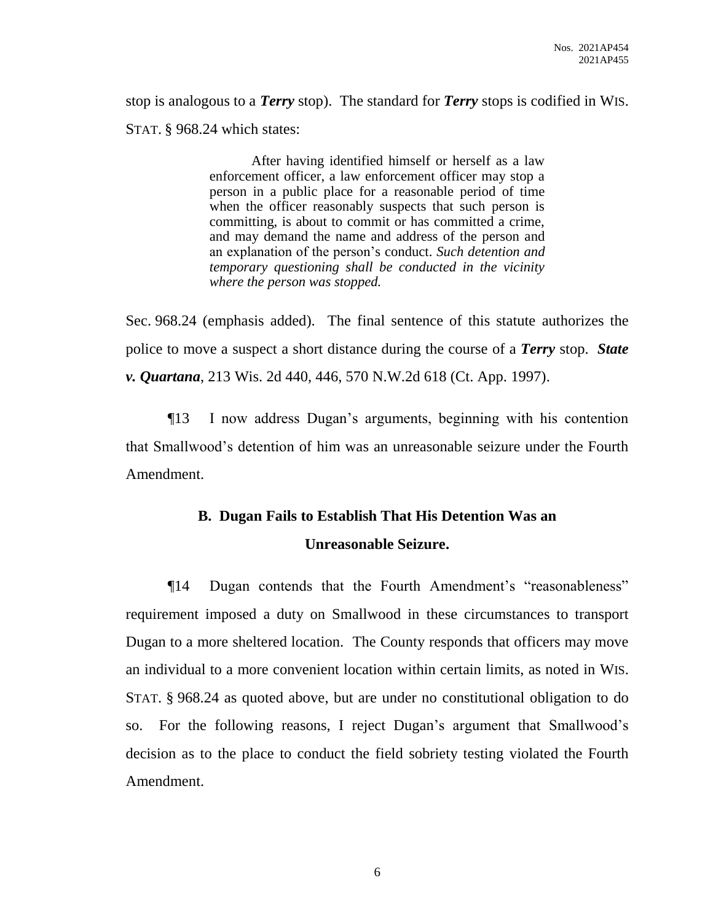stop is analogous to a *Terry* stop). The standard for *Terry* stops is codified in WIS. STAT. § 968.24 which states:

> After having identified himself or herself as a law enforcement officer, a law enforcement officer may stop a person in a public place for a reasonable period of time when the officer reasonably suspects that such person is committing, is about to commit or has committed a crime, and may demand the name and address of the person and an explanation of the person's conduct. *Such detention and temporary questioning shall be conducted in the vicinity where the person was stopped.*

Sec. 968.24 (emphasis added). The final sentence of this statute authorizes the police to move a suspect a short distance during the course of a *Terry* stop. *State v. Quartana*, 213 Wis. 2d 440, 446, 570 N.W.2d 618 (Ct. App. 1997).

¶13 I now address Dugan's arguments, beginning with his contention that Smallwood's detention of him was an unreasonable seizure under the Fourth Amendment.

# **B. Dugan Fails to Establish That His Detention Was an Unreasonable Seizure.**

¶14 Dugan contends that the Fourth Amendment's "reasonableness" requirement imposed a duty on Smallwood in these circumstances to transport Dugan to a more sheltered location. The County responds that officers may move an individual to a more convenient location within certain limits, as noted in WIS. STAT. § 968.24 as quoted above, but are under no constitutional obligation to do so. For the following reasons, I reject Dugan's argument that Smallwood's decision as to the place to conduct the field sobriety testing violated the Fourth Amendment.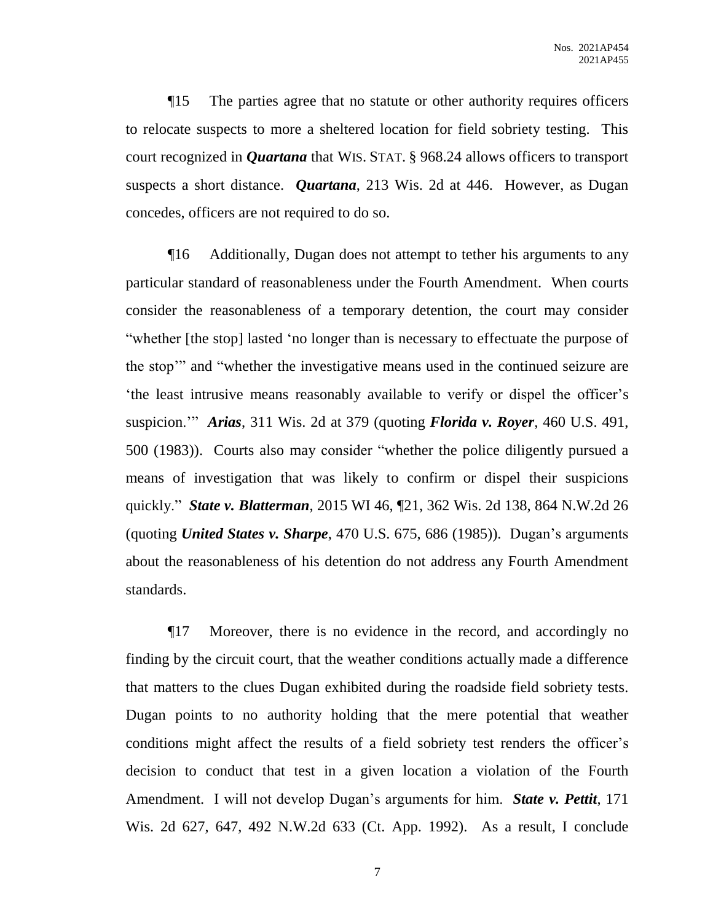¶15 The parties agree that no statute or other authority requires officers to relocate suspects to more a sheltered location for field sobriety testing. This court recognized in *Quartana* that WIS. STAT. § 968.24 allows officers to transport suspects a short distance. *Quartana*, 213 Wis. 2d at 446. However, as Dugan concedes, officers are not required to do so.

¶16 Additionally, Dugan does not attempt to tether his arguments to any particular standard of reasonableness under the Fourth Amendment. When courts consider the reasonableness of a temporary detention, the court may consider "whether [the stop] lasted 'no longer than is necessary to effectuate the purpose of the stop'" and "whether the investigative means used in the continued seizure are 'the least intrusive means reasonably available to verify or dispel the officer's suspicion.'" *Arias*, 311 Wis. 2d at 379 (quoting *Florida v. Royer*, 460 U.S. 491, 500 (1983)). Courts also may consider "whether the police diligently pursued a means of investigation that was likely to confirm or dispel their suspicions quickly." *State v. Blatterman*, 2015 WI 46, ¶21, 362 Wis. 2d 138, 864 N.W.2d 26 (quoting *United States v. Sharpe*, 470 U.S. 675, 686 (1985)). Dugan's arguments about the reasonableness of his detention do not address any Fourth Amendment standards.

¶17 Moreover, there is no evidence in the record, and accordingly no finding by the circuit court, that the weather conditions actually made a difference that matters to the clues Dugan exhibited during the roadside field sobriety tests. Dugan points to no authority holding that the mere potential that weather conditions might affect the results of a field sobriety test renders the officer's decision to conduct that test in a given location a violation of the Fourth Amendment. I will not develop Dugan's arguments for him. *State v. Pettit*, 171 Wis. 2d 627, 647, 492 N.W.2d 633 (Ct. App. 1992). As a result, I conclude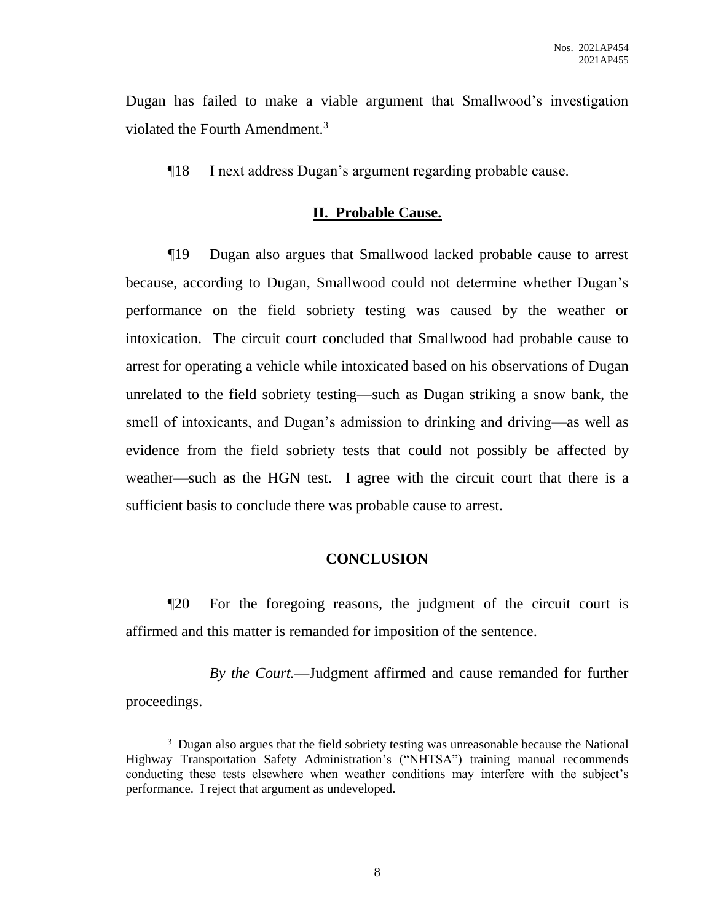Dugan has failed to make a viable argument that Smallwood's investigation violated the Fourth Amendment. 3

¶18 I next address Dugan's argument regarding probable cause.

### **II. Probable Cause.**

¶19 Dugan also argues that Smallwood lacked probable cause to arrest because, according to Dugan, Smallwood could not determine whether Dugan's performance on the field sobriety testing was caused by the weather or intoxication. The circuit court concluded that Smallwood had probable cause to arrest for operating a vehicle while intoxicated based on his observations of Dugan unrelated to the field sobriety testing—such as Dugan striking a snow bank, the smell of intoxicants, and Dugan's admission to drinking and driving—as well as evidence from the field sobriety tests that could not possibly be affected by weather—such as the HGN test. I agree with the circuit court that there is a sufficient basis to conclude there was probable cause to arrest.

#### **CONCLUSION**

¶20 For the foregoing reasons, the judgment of the circuit court is affirmed and this matter is remanded for imposition of the sentence.

*By the Court.*—Judgment affirmed and cause remanded for further proceedings.

 $\overline{a}$ 

<sup>&</sup>lt;sup>3</sup> Dugan also argues that the field sobriety testing was unreasonable because the National Highway Transportation Safety Administration's ("NHTSA") training manual recommends conducting these tests elsewhere when weather conditions may interfere with the subject's performance. I reject that argument as undeveloped.